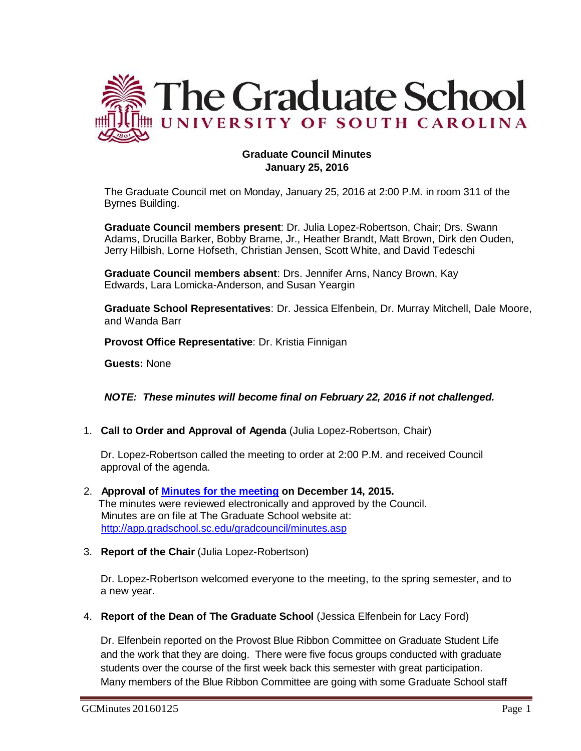

# **Graduate Council Minutes January 25, 2016**

The Graduate Council met on Monday, January 25, 2016 at 2:00 P.M. in room 311 of the Byrnes Building.

**Graduate Council members present**: Dr. Julia Lopez-Robertson, Chair; Drs. Swann Adams, Drucilla Barker, Bobby Brame, Jr., Heather Brandt, Matt Brown, Dirk den Ouden, Jerry Hilbish, Lorne Hofseth, Christian Jensen, Scott White, and David Tedeschi

**Graduate Council members absent**: Drs. Jennifer Arns, Nancy Brown, Kay Edwards, Lara Lomicka-Anderson, and Susan Yeargin

**Graduate School Representatives**: Dr. Jessica Elfenbein, Dr. Murray Mitchell, Dale Moore, and Wanda Barr

**Provost Office Representative**: Dr. Kristia Finnigan

**Guests:** None

*NOTE: These minutes will become final on February 22, 2016 if not challenged.*

1. **Call to Order and Approval of Agenda** (Julia Lopez-Robertson, Chair)

Dr. Lopez-Robertson called the meeting to order at 2:00 P.M. and received Council approval of the agenda.

- 2. **Approval of [Minutes](http://gradschool.sc.edu/facstaff/gradcouncil/2015/GC%20AGENDA%20December%2014,%202015.pdf) for the meeting on December 14, 2015.**  The minutes were reviewed electronically and approved by the Council. Minutes are on file at The Graduate School website at: <http://app.gradschool.sc.edu/gradcouncil/minutes.asp>
- 3. **Report of the Chair** (Julia Lopez-Robertson)

Dr. Lopez-Robertson welcomed everyone to the meeting, to the spring semester, and to a new year.

4. **Report of the Dean of The Graduate School** (Jessica Elfenbein for Lacy Ford)

Dr. Elfenbein reported on the Provost Blue Ribbon Committee on Graduate Student Life and the work that they are doing. There were five focus groups conducted with graduate students over the course of the first week back this semester with great participation. Many members of the Blue Ribbon Committee are going with some Graduate School staff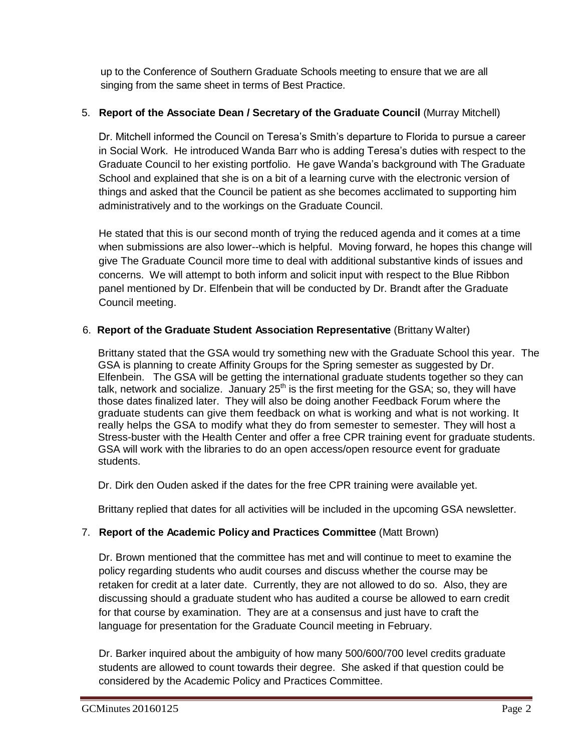up to the Conference of Southern Graduate Schools meeting to ensure that we are all singing from the same sheet in terms of Best Practice.

# 5. **Report of the Associate Dean / Secretary of the Graduate Council** (Murray Mitchell)

Dr. Mitchell informed the Council on Teresa's Smith's departure to Florida to pursue a career in Social Work. He introduced Wanda Barr who is adding Teresa's duties with respect to the Graduate Council to her existing portfolio. He gave Wanda's background with The Graduate School and explained that she is on a bit of a learning curve with the electronic version of things and asked that the Council be patient as she becomes acclimated to supporting him administratively and to the workings on the Graduate Council.

He stated that this is our second month of trying the reduced agenda and it comes at a time when submissions are also lower--which is helpful. Moving forward, he hopes this change will give The Graduate Council more time to deal with additional substantive kinds of issues and concerns. We will attempt to both inform and solicit input with respect to the Blue Ribbon panel mentioned by Dr. Elfenbein that will be conducted by Dr. Brandt after the Graduate Council meeting.

# 6. **Report of the Graduate Student Association Representative** (Brittany Walter)

Brittany stated that the GSA would try something new with the Graduate School this year. The GSA is planning to create Affinity Groups for the Spring semester as suggested by Dr. Elfenbein. The GSA will be getting the international graduate students together so they can talk, network and socialize. January  $25<sup>th</sup>$  is the first meeting for the GSA; so, they will have those dates finalized later. They will also be doing another Feedback Forum where the graduate students can give them feedback on what is working and what is not working. It really helps the GSA to modify what they do from semester to semester. They will host a Stress-buster with the Health Center and offer a free CPR training event for graduate students. GSA will work with the libraries to do an open access/open resource event for graduate students.

Dr. Dirk den Ouden asked if the dates for the free CPR training were available yet.

Brittany replied that dates for all activities will be included in the upcoming GSA newsletter.

# 7. **Report of the Academic Policy and Practices Committee** (Matt Brown)

Dr. Brown mentioned that the committee has met and will continue to meet to examine the policy regarding students who audit courses and discuss whether the course may be retaken for credit at a later date. Currently, they are not allowed to do so. Also, they are discussing should a graduate student who has audited a course be allowed to earn credit for that course by examination. They are at a consensus and just have to craft the language for presentation for the Graduate Council meeting in February.

Dr. Barker inquired about the ambiguity of how many 500/600/700 level credits graduate students are allowed to count towards their degree. She asked if that question could be considered by the Academic Policy and Practices Committee.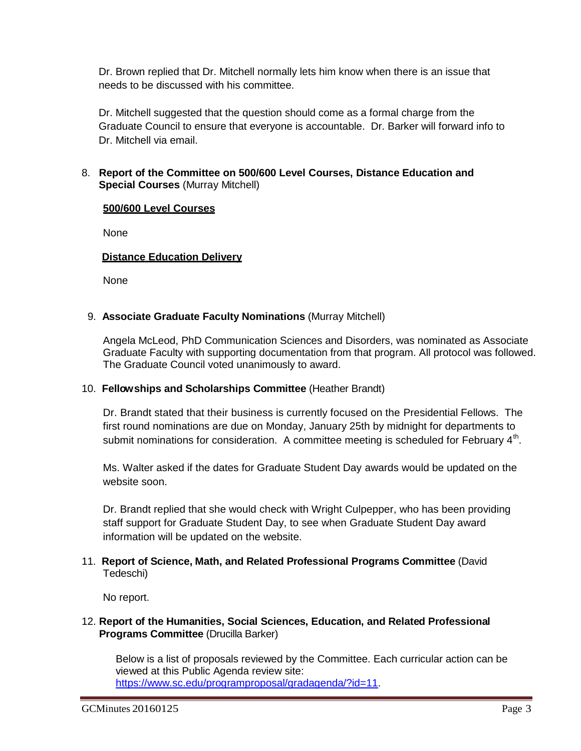Dr. Brown replied that Dr. Mitchell normally lets him know when there is an issue that needs to be discussed with his committee.

Dr. Mitchell suggested that the question should come as a formal charge from the Graduate Council to ensure that everyone is accountable. Dr. Barker will forward info to Dr. Mitchell via email.

## 8. **Report of the Committee on 500/600 Level Courses, Distance Education and Special Courses** (Murray Mitchell)

## **500/600 Level Courses**

None

# **Distance Education Delivery**

None

## 9. **Associate Graduate Faculty Nominations** (Murray Mitchell)

Angela McLeod, PhD Communication Sciences and Disorders, was nominated as Associate Graduate Faculty with supporting documentation from that program. All protocol was followed. The Graduate Council voted unanimously to award.

## 10. **Fellowships and Scholarships Committee** (Heather Brandt)

Dr. Brandt stated that their business is currently focused on the Presidential Fellows. The first round nominations are due on Monday, January 25th by midnight for departments to submit nominations for consideration. A committee meeting is scheduled for February  $4<sup>th</sup>$ .

Ms. Walter asked if the dates for Graduate Student Day awards would be updated on the website soon.

Dr. Brandt replied that she would check with Wright Culpepper, who has been providing staff support for Graduate Student Day, to see when Graduate Student Day award information will be updated on the website.

# 11. **Report of Science, Math, and Related Professional Programs Committee** (David Tedeschi)

No report.

## 12. **Report of the Humanities, Social Sciences, Education, and Related Professional Programs Committee** (Drucilla Barker)

Below is a list of proposals reviewed by the Committee. Each curricular action can be viewed at this Public Agenda review site: [https://www.sc.edu/programproposal/gradagenda/?id=11.](https://www.sc.edu/programproposal/gradagenda/?id=11)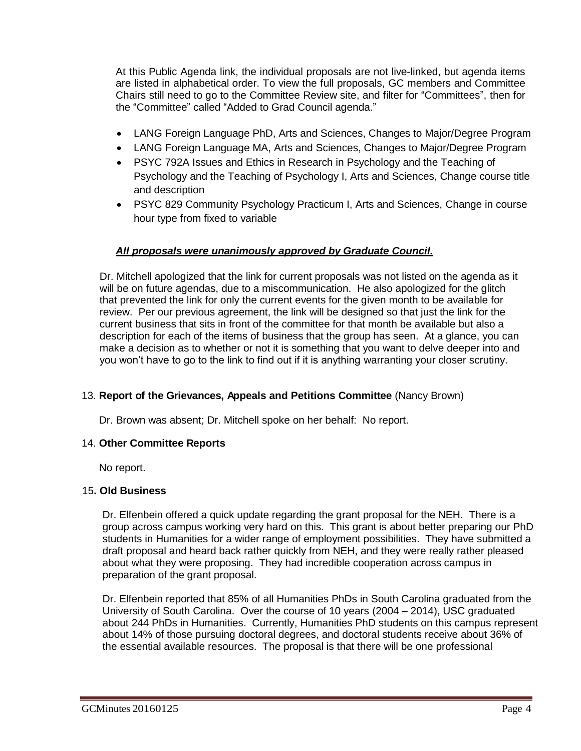At this Public Agenda link, the individual proposals are not live-linked, but agenda items are listed in alphabetical order. To view the full proposals, GC members and Committee Chairs still need to go to the Committee Review site, and filter for "Committees", then for the "Committee" called "Added to Grad Council agenda."

- LANG Foreign Language PhD, Arts and Sciences, Changes to Major/Degree Program
- LANG Foreign Language MA, Arts and Sciences, Changes to Major/Degree Program
- PSYC 792A Issues and Ethics in Research in Psychology and the Teaching of Psychology and the Teaching of Psychology I, Arts and Sciences, Change course title and description
- PSYC 829 Community Psychology Practicum I, Arts and Sciences, Change in course hour type from fixed to variable

#### *All proposals were unanimously approved by Graduate Council.*

Dr. Mitchell apologized that the link for current proposals was not listed on the agenda as it will be on future agendas, due to a miscommunication. He also apologized for the glitch that prevented the link for only the current events for the given month to be available for review. Per our previous agreement, the link will be designed so that just the link for the current business that sits in front of the committee for that month be available but also a description for each of the items of business that the group has seen. At a glance, you can make a decision as to whether or not it is something that you want to delve deeper into and you won't have to go to the link to find out if it is anything warranting your closer scrutiny.

## 13. **Report of the Grievances, Appeals and Petitions Committee** (Nancy Brown)

Dr. Brown was absent; Dr. Mitchell spoke on her behalf: No report.

#### 14. **Other Committee Reports**

No report.

## 15**. Old Business**

Dr. Elfenbein offered a quick update regarding the grant proposal for the NEH. There is a group across campus working very hard on this. This grant is about better preparing our PhD students in Humanities for a wider range of employment possibilities. They have submitted a draft proposal and heard back rather quickly from NEH, and they were really rather pleased about what they were proposing. They had incredible cooperation across campus in preparation of the grant proposal.

Dr. Elfenbein reported that 85% of all Humanities PhDs in South Carolina graduated from the University of South Carolina. Over the course of 10 years (2004 – 2014), USC graduated about 244 PhDs in Humanities. Currently, Humanities PhD students on this campus represent about 14% of those pursuing doctoral degrees, and doctoral students receive about 36% of the essential available resources. The proposal is that there will be one professional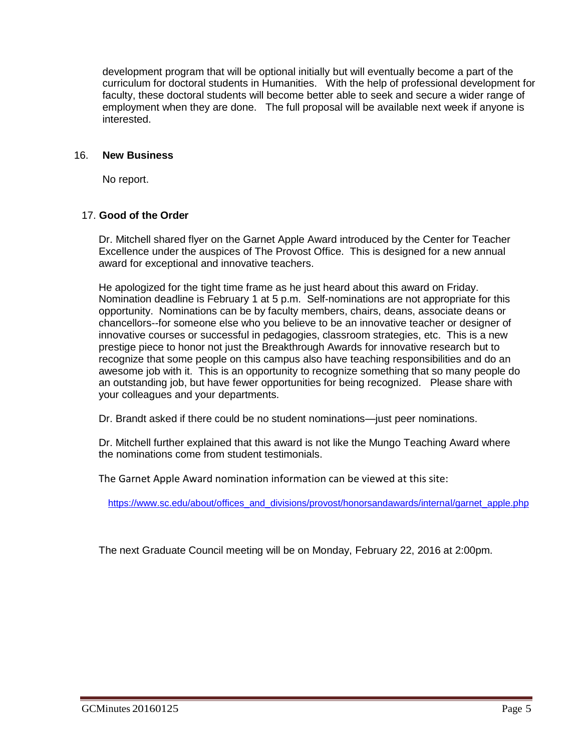development program that will be optional initially but will eventually become a part of the curriculum for doctoral students in Humanities. With the help of professional development for faculty, these doctoral students will become better able to seek and secure a wider range of employment when they are done. The full proposal will be available next week if anyone is interested.

#### 16. **New Business**

No report.

#### 17. **Good of the Order**

Dr. Mitchell shared flyer on the Garnet Apple Award introduced by the Center for Teacher Excellence under the auspices of The Provost Office. This is designed for a new annual award for exceptional and innovative teachers.

He apologized for the tight time frame as he just heard about this award on Friday. Nomination deadline is February 1 at 5 p.m. Self-nominations are not appropriate for this opportunity. Nominations can be by faculty members, chairs, deans, associate deans or chancellors--for someone else who you believe to be an innovative teacher or designer of innovative courses or successful in pedagogies, classroom strategies, etc. This is a new prestige piece to honor not just the Breakthrough Awards for innovative research but to recognize that some people on this campus also have teaching responsibilities and do an awesome job with it. This is an opportunity to recognize something that so many people do an outstanding job, but have fewer opportunities for being recognized. Please share with your colleagues and your departments.

Dr. Brandt asked if there could be no student nominations—just peer nominations.

Dr. Mitchell further explained that this award is not like the Mungo Teaching Award where the nominations come from student testimonials.

The Garnet Apple Award nomination information can be viewed at this site:

[https://www.sc.edu/about/offices\\_and\\_divisions/provost/honorsandawards/internal/garnet\\_apple.php](https://www.sc.edu/about/offices_and_divisions/provost/honorsandawards/internal/garnet_apple.php)

The next Graduate Council meeting will be on Monday, February 22, 2016 at 2:00pm.